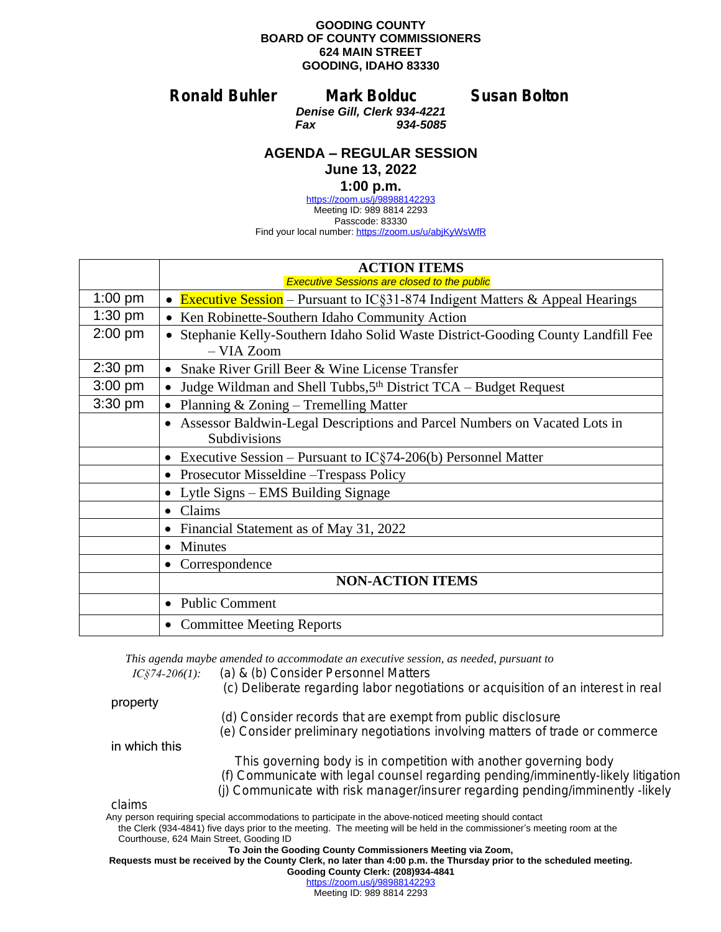## **GOODING COUNTY BOARD OF COUNTY COMMISSIONERS 624 MAIN STREET GOODING, IDAHO 83330**

**Ronald Buhler Mark Bolduc Susan Bolton**

*Denise Gill, Clerk 934-4221 Fax 934-5085*

## **AGENDA – REGULAR SESSION**

**June 13, 2022**

## **1:00 p.m.**

<https://zoom.us/j/98988142293> Meeting ID: 989 8814 2293 Passcode: 83330 Find your local number: <https://zoom.us/u/abjKyWsWfR>

|           | <b>ACTION ITEMS</b>                                                                                    |
|-----------|--------------------------------------------------------------------------------------------------------|
|           | <b>Executive Sessions are closed to the public</b>                                                     |
| $1:00$ pm | • Executive Session – Pursuant to IC§31-874 Indigent Matters & Appeal Hearings                         |
| $1:30$ pm | Ken Robinette-Southern Idaho Community Action                                                          |
| $2:00$ pm | • Stephanie Kelly-Southern Idaho Solid Waste District-Gooding County Landfill Fee<br>- VIA Zoom        |
| 2:30 pm   | • Snake River Grill Beer & Wine License Transfer                                                       |
| $3:00$ pm | Judge Wildman and Shell Tubbs, 5 <sup>th</sup> District TCA – Budget Request<br>$\bullet$              |
| $3:30$ pm | Planning & Zoning - Tremelling Matter                                                                  |
|           | Assessor Baldwin-Legal Descriptions and Parcel Numbers on Vacated Lots in<br>$\bullet$<br>Subdivisions |
|           | Executive Session – Pursuant to $IC\S 74-206(b)$ Personnel Matter<br>$\bullet$                         |
|           | Prosecutor Misseldine – Trespass Policy<br>$\bullet$                                                   |
|           | Lytle Signs – EMS Building Signage<br>$\bullet$                                                        |
|           | Claims<br>$\bullet$                                                                                    |
|           | Financial Statement as of May 31, 2022<br>$\bullet$                                                    |
|           | <b>Minutes</b><br>$\bullet$                                                                            |
|           | Correspondence<br>٠                                                                                    |
|           | <b>NON-ACTION ITEMS</b>                                                                                |
|           | <b>Public Comment</b><br>$\bullet$                                                                     |
|           | • Committee Meeting Reports                                                                            |

*This agenda maybe amended to accommodate an executive session, as needed, pursuant to* 

*IC§74-206(1): (a)* & *(b) Consider Personnel Matters*

 *(c) Deliberate regarding labor negotiations or acquisition of an interest in real* 

property

- *(d) Consider records that are exempt from public disclosure*
- *(e) Consider preliminary negotiations involving matters of trade or commerce*

in which this

- *This governing body is in competition with another governing body*
- *(f) Communicate with legal counsel regarding pending/imminently-likely litigation*
- *(j) Communicate with risk manager/insurer regarding pending/imminently -likely*

*claims* 

Any person requiring special accommodations to participate in the above-noticed meeting should contact

 the Clerk (934-4841) five days prior to the meeting. The meeting will be held in the commissioner's meeting room at the Courthouse, 624 Main Street, Gooding ID

## **To Join the Gooding County Commissioners Meeting via Zoom,**

**Requests must be received by the County Clerk, no later than 4:00 p.m. the Thursday prior to the scheduled meeting.**

**Gooding County Clerk: (208)934-4841** <https://zoom.us/j/98988142293>

Meeting ID: 989 8814 2293